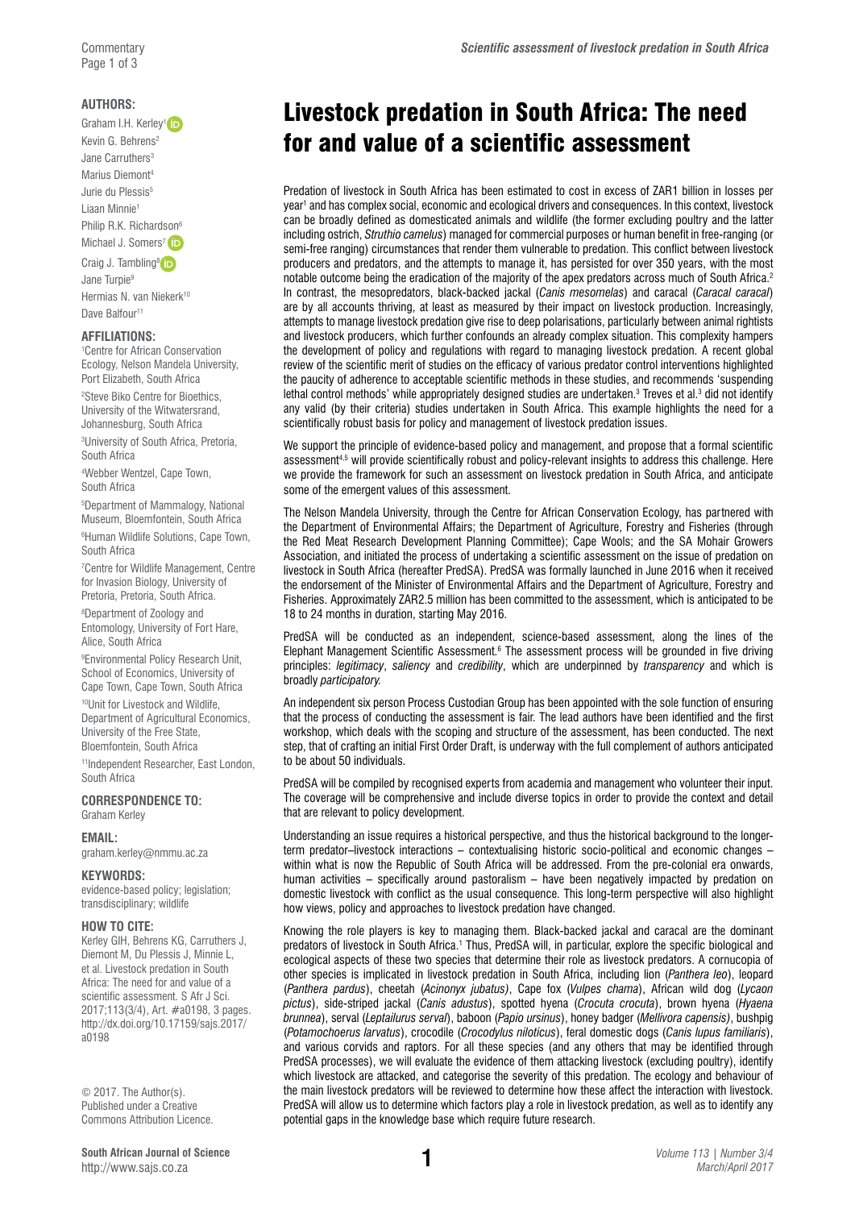### **AUTHORS:**

Graham I.H. Kerley<sup>[1](http://orcid.org/0000-0003-2702-5200)</sup> iD Kevin G. Behrens<sup>2</sup> Jane Carruthers<sup>3</sup> Marius Diemont4 Jurie du Plessis<sup>5</sup> Liaan Minnie<sup>1</sup> Philip R.K. Richardson<sup>6</sup> Michael J. Somers<sup>[7](http://orcid.org/0000-0002-5836-8823)</sup> (iD) Craig J. Tambling<sup>8</sup>

Jane Turpie<sup>9</sup> Hermias N. van Niekerk<sup>10</sup> Dave Balfour<sup>11</sup>

#### **AFFILIATIONS:**

1 Centre for African Conservation Ecology, Nelson Mandela University, Port Elizabeth, South Africa

2 Steve Biko Centre for Bioethics, University of the Witwatersrand, Johannesburg, South Africa

3 University of South Africa, Pretoria, South Africa

4 Webber Wentzel, Cape Town, South Africa

5 Department of Mammalogy, National Museum, Bloemfontein, South Africa

6 Human Wildlife Solutions, Cape Town, South Africa

7 Centre for Wildlife Management, Centre for Invasion Biology, University of Pretoria, Pretoria, South Africa.

8 Department of Zoology and Entomology, University of Fort Hare, Alice, South Africa

9 Environmental Policy Research Unit, School of Economics, University of Cape Town, Cape Town, South Africa

10Unit for Livestock and Wildlife, Department of Agricultural Economics, University of the Free State, Bloemfontein, South Africa

11Independent Researcher, East London, South Africa

**CORRESPONDENCE TO:** 

Graham Kerley

**EMAIL:**  [graham.kerley@nmmu.ac.za](mailto:graham.kerley@nmmu.ac.za)

#### **KEYWORDS:**

evidence-based policy; legislation; transdisciplinary; wildlife

#### **HOW TO CITE:**

Kerley GIH, Behrens KG, Carruthers J, Diemont M, Du Plessis J, Minnie L, et al. Livestock predation in South Africa: The need for and value of a scientific assessment. S Afr J Sci. 2017;113(3/4), Art. #a0198, 3 pages. [http://dx.doi.org/10.17159/sajs.2017/](http://dx.doi.org/10.17159/sajs.2017/a0198) [a0198](http://dx.doi.org/10.17159/sajs.2017/a0198)

© 2017. The Author(s). Published under a Creative Commons Attribution Licence.

**1 South African Journal of Science**  <http://www.sajs.co.za>

# Livestock predation in South Africa: The need for and value of a scientific assessment

Predation of livestock in South Africa has been estimated to cost in excess of ZAR1 billion in losses per year<sup>1</sup> and has complex social, economic and ecological drivers and consequences. In this context, livestock can be broadly defined as domesticated animals and wildlife (the former excluding poultry and the latter including ostrich, *Struthio camelus*) managed for commercial purposes or human benefit in free-ranging (or semi-free ranging) circumstances that render them vulnerable to predation. This conflict between livestock producers and predators, and the attempts to manage it, has persisted for over 350 years, with the most notable outcome being the eradication of the majority of the apex predators across much of South Africa.2 In contrast, the mesopredators, black-backed jackal (*Canis mesomelas*) and caracal (*Caracal caracal*) are by all accounts thriving, at least as measured by their impact on livestock production. Increasingly, attempts to manage livestock predation give rise to deep polarisations, particularly between animal rightists and livestock producers, which further confounds an already complex situation. This complexity hampers the development of policy and regulations with regard to managing livestock predation. A recent global review of the scientific merit of studies on the efficacy of various predator control interventions highlighted the paucity of adherence to acceptable scientific methods in these studies, and recommends 'suspending lethal control methods' while appropriately designed studies are undertaken.<sup>3</sup> Treves et al.<sup>3</sup> did not identify any valid (by their criteria) studies undertaken in South Africa. This example highlights the need for a scientifically robust basis for policy and management of livestock predation issues.

We support the principle of evidence-based policy and management, and propose that a formal scientific assessment<sup>4,5</sup> will provide scientifically robust and policy-relevant insights to address this challenge. Here we provide the framework for such an assessment on livestock predation in South Africa, and anticipate some of the emergent values of this assessment.

The Nelson Mandela University, through the Centre for African Conservation Ecology, has partnered with the Department of Environmental Affairs; the Department of Agriculture, Forestry and Fisheries (through the Red Meat Research Development Planning Committee); Cape Wools; and the SA Mohair Growers Association, and initiated the process of undertaking a scientific assessment on the issue of predation on livestock in South Africa (hereafter PredSA). PredSA was formally launched in June 2016 when it received the endorsement of the Minister of Environmental Affairs and the Department of Agriculture, Forestry and Fisheries. Approximately ZAR2.5 million has been committed to the assessment, which is anticipated to be 18 to 24 months in duration, starting May 2016.

PredSA will be conducted as an independent, science-based assessment, along the lines of the Elephant Management Scientific Assessment.<sup>6</sup> The assessment process will be grounded in five driving principles: *legitimacy*, *saliency* and *credibility*, which are underpinned by *transparency* and which is broadly *participatory.* 

An independent six person Process Custodian Group has been appointed with the sole function of ensuring that the process of conducting the assessment is fair. The lead authors have been identified and the first workshop, which deals with the scoping and structure of the assessment, has been conducted. The next step, that of crafting an initial First Order Draft, is underway with the full complement of authors anticipated to be about 50 individuals.

PredSA will be compiled by recognised experts from academia and management who volunteer their input. The coverage will be comprehensive and include diverse topics in order to provide the context and detail that are relevant to policy development.

Understanding an issue requires a historical perspective, and thus the historical background to the longerterm predator–livestock interactions – contextualising historic socio-political and economic changes – within what is now the Republic of South Africa will be addressed. From the pre-colonial era onwards, human activities – specifically around pastoralism – have been negatively impacted by predation on domestic livestock with conflict as the usual consequence. This long-term perspective will also highlight how views, policy and approaches to livestock predation have changed.

Knowing the role players is key to managing them. Black-backed jackal and caracal are the dominant predators of livestock in South Africa.<sup>1</sup> Thus, PredSA will, in particular, explore the specific biological and ecological aspects of these two species that determine their role as livestock predators. A cornucopia of other species is implicated in livestock predation in South Africa, including lion (*Panthera leo*), leopard (*Panthera pardus*), cheetah (*Acinonyx jubatus)*, Cape fox (*Vulpes chama*), African wild dog (*Lycaon pictus*), side-striped jackal (*Canis adustus*), spotted hyena (*Crocuta crocuta*), brown hyena (*Hyaena brunnea*), serval (*Leptailurus serval*), baboon (*Papio ursinus*), honey badger (*Mellivora capensis)*, bushpig (*Potamochoerus larvatus*), crocodile (*Crocodylus niloticus*), feral domestic dogs (*Canis lupus familiaris*), and various corvids and raptors. For all these species (and any others that may be identified through PredSA processes), we will evaluate the evidence of them attacking livestock (excluding poultry), identify which livestock are attacked, and categorise the severity of this predation. The ecology and behaviour of the main livestock predators will be reviewed to determine how these affect the interaction with livestock. PredSA will allow us to determine which factors play a role in livestock predation, as well as to identify any potential gaps in the knowledge base which require future research.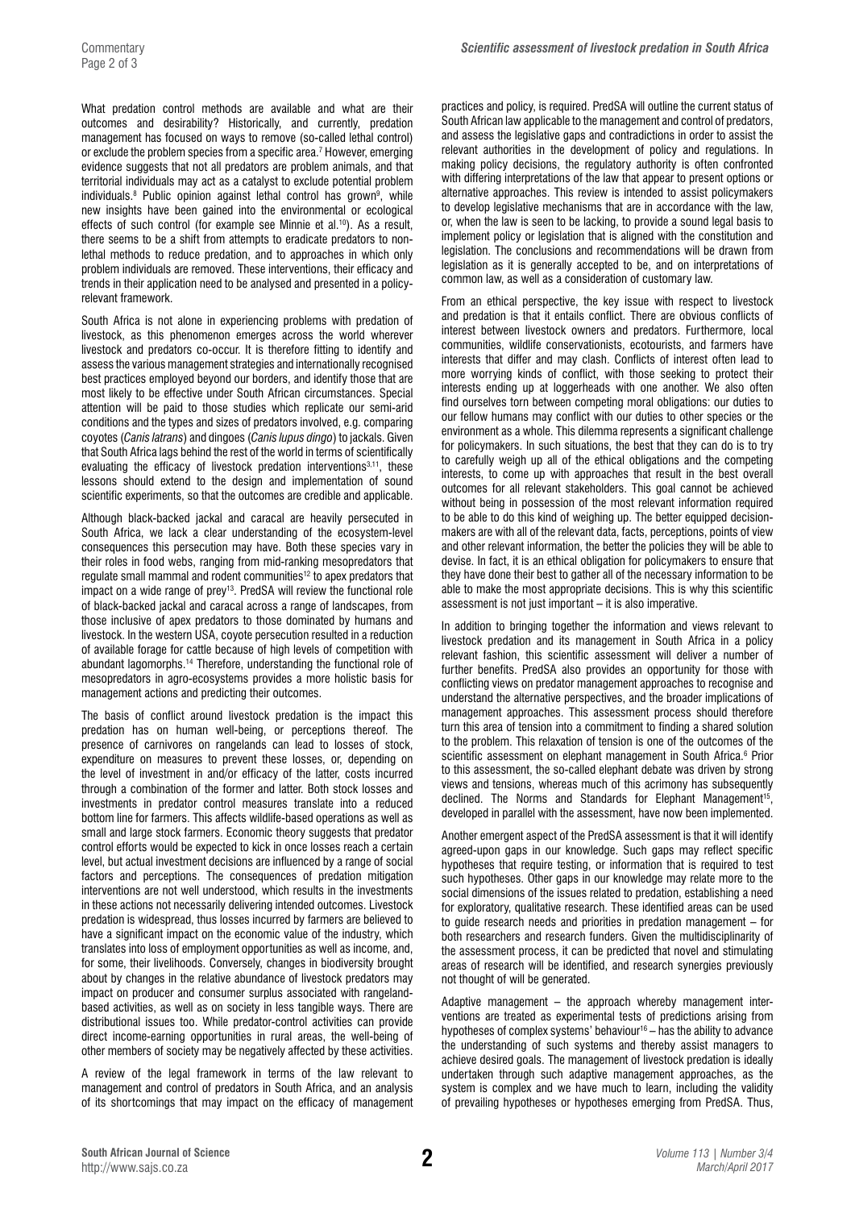What predation control methods are available and what are their outcomes and desirability? Historically, and currently, predation management has focused on ways to remove (so-called lethal control) or exclude the problem species from a specific area.7 However, emerging evidence suggests that not all predators are problem animals, and that territorial individuals may act as a catalyst to exclude potential problem individuals.<sup>8</sup> Public opinion against lethal control has grown<sup>9</sup>, while new insights have been gained into the environmental or ecological effects of such control (for example see Minnie et al.<sup>10</sup>). As a result, there seems to be a shift from attempts to eradicate predators to nonlethal methods to reduce predation, and to approaches in which only problem individuals are removed. These interventions, their efficacy and trends in their application need to be analysed and presented in a policyrelevant framework.

South Africa is not alone in experiencing problems with predation of livestock, as this phenomenon emerges across the world wherever livestock and predators co-occur. It is therefore fitting to identify and assess the various management strategies and internationally recognised best practices employed beyond our borders, and identify those that are most likely to be effective under South African circumstances. Special attention will be paid to those studies which replicate our semi-arid conditions and the types and sizes of predators involved, e.g. comparing coyotes (*Canis latrans*) and dingoes (*Canis lupus dingo*) to jackals. Given that South Africa lags behind the rest of the world in terms of scientifically evaluating the efficacy of livestock predation interventions<sup>3,11</sup>, these lessons should extend to the design and implementation of sound scientific experiments, so that the outcomes are credible and applicable.

Although black-backed jackal and caracal are heavily persecuted in South Africa, we lack a clear understanding of the ecosystem-level consequences this persecution may have. Both these species vary in their roles in food webs, ranging from mid-ranking mesopredators that regulate small mammal and rodent communities<sup>12</sup> to apex predators that impact on a wide range of prey13. PredSA will review the functional role of black-backed jackal and caracal across a range of landscapes, from those inclusive of apex predators to those dominated by humans and livestock. In the western USA, coyote persecution resulted in a reduction of available forage for cattle because of high levels of competition with abundant lagomorphs.14 Therefore, understanding the functional role of mesopredators in agro-ecosystems provides a more holistic basis for management actions and predicting their outcomes.

The basis of conflict around livestock predation is the impact this predation has on human well-being, or perceptions thereof. The presence of carnivores on rangelands can lead to losses of stock, expenditure on measures to prevent these losses, or, depending on the level of investment in and/or efficacy of the latter, costs incurred through a combination of the former and latter. Both stock losses and investments in predator control measures translate into a reduced bottom line for farmers. This affects wildlife-based operations as well as small and large stock farmers. Economic theory suggests that predator control efforts would be expected to kick in once losses reach a certain level, but actual investment decisions are influenced by a range of social factors and perceptions. The consequences of predation mitigation interventions are not well understood, which results in the investments in these actions not necessarily delivering intended outcomes. Livestock predation is widespread, thus losses incurred by farmers are believed to have a significant impact on the economic value of the industry, which translates into loss of employment opportunities as well as income, and, for some, their livelihoods. Conversely, changes in biodiversity brought about by changes in the relative abundance of livestock predators may impact on producer and consumer surplus associated with rangelandbased activities, as well as on society in less tangible ways. There are distributional issues too. While predator-control activities can provide direct income-earning opportunities in rural areas, the well-being of other members of society may be negatively affected by these activities.

A review of the legal framework in terms of the law relevant to management and control of predators in South Africa, and an analysis of its shortcomings that may impact on the efficacy of management practices and policy, is required. PredSA will outline the current status of South African law applicable to the management and control of predators, and assess the legislative gaps and contradictions in order to assist the relevant authorities in the development of policy and regulations. In making policy decisions, the regulatory authority is often confronted with differing interpretations of the law that appear to present options or alternative approaches. This review is intended to assist policymakers to develop legislative mechanisms that are in accordance with the law, or, when the law is seen to be lacking, to provide a sound legal basis to implement policy or legislation that is aligned with the constitution and legislation. The conclusions and recommendations will be drawn from legislation as it is generally accepted to be, and on interpretations of common law, as well as a consideration of customary law.

From an ethical perspective, the key issue with respect to livestock and predation is that it entails conflict. There are obvious conflicts of interest between livestock owners and predators. Furthermore, local communities, wildlife conservationists, ecotourists, and farmers have interests that differ and may clash. Conflicts of interest often lead to more worrying kinds of conflict, with those seeking to protect their interests ending up at loggerheads with one another. We also often find ourselves torn between competing moral obligations: our duties to our fellow humans may conflict with our duties to other species or the environment as a whole. This dilemma represents a significant challenge for policymakers. In such situations, the best that they can do is to try to carefully weigh up all of the ethical obligations and the competing interests, to come up with approaches that result in the best overall outcomes for all relevant stakeholders. This goal cannot be achieved without being in possession of the most relevant information required to be able to do this kind of weighing up. The better equipped decisionmakers are with all of the relevant data, facts, perceptions, points of view and other relevant information, the better the policies they will be able to devise. In fact, it is an ethical obligation for policymakers to ensure that they have done their best to gather all of the necessary information to be able to make the most appropriate decisions. This is why this scientific assessment is not just important – it is also imperative.

In addition to bringing together the information and views relevant to livestock predation and its management in South Africa in a policy relevant fashion, this scientific assessment will deliver a number of further benefits. PredSA also provides an opportunity for those with conflicting views on predator management approaches to recognise and understand the alternative perspectives, and the broader implications of management approaches. This assessment process should therefore turn this area of tension into a commitment to finding a shared solution to the problem. This relaxation of tension is one of the outcomes of the scientific assessment on elephant management in South Africa.<sup>6</sup> Prior to this assessment, the so-called elephant debate was driven by strong views and tensions, whereas much of this acrimony has subsequently declined. The Norms and Standards for Elephant Management<sup>15</sup> developed in parallel with the assessment, have now been implemented.

Another emergent aspect of the PredSA assessment is that it will identify agreed-upon gaps in our knowledge. Such gaps may reflect specific hypotheses that require testing, or information that is required to test such hypotheses. Other gaps in our knowledge may relate more to the social dimensions of the issues related to predation, establishing a need for exploratory, qualitative research. These identified areas can be used to guide research needs and priorities in predation management – for both researchers and research funders. Given the multidisciplinarity of the assessment process, it can be predicted that novel and stimulating areas of research will be identified, and research synergies previously not thought of will be generated.

Adaptive management – the approach whereby management interventions are treated as experimental tests of predictions arising from hypotheses of complex systems' behaviour<sup>16</sup> – has the ability to advance the understanding of such systems and thereby assist managers to achieve desired goals. The management of livestock predation is ideally undertaken through such adaptive management approaches, as the system is complex and we have much to learn, including the validity of prevailing hypotheses or hypotheses emerging from PredSA. Thus,